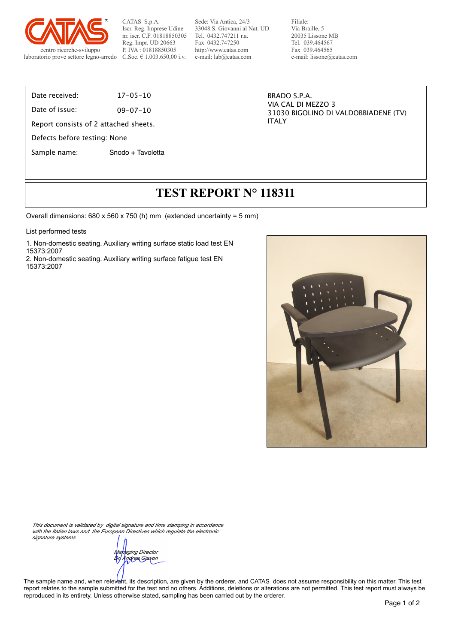

CATAS S.p.A. Iscr. Reg. Imprese Udine nr. iscr. C.F. 01818850305 Reg. Impr. UD 20663 P. IVA : 01818850305 C.Soc. € 1.003.650,00 i.v.

Sede: Via Antica, 24/3 33048 S. Giovanni al Nat. UD Tel. 0432.747211 r.a. Fax 0432.747250 http://www.catas.com e-mail: lab@catas.com

Filiale: Via Braille, 5 20035 Lissone MB Tel. 039.464567 Fax 039.464565 e-mail: lissone@catas.com

Date received: 17-05-10

Date of issue: 09-07-10

Report consists of 2 attached sheets.

Defects before testing: None

Sample name: Snodo + Tavoletta

BRADO S.P.A. VIA CAL DI MEZZO 3 31030 BIGOLINO DI VALDOBBIADENE (TV) ITALY

## **TEST REPORT N° 118311**

Overall dimensions:  $680 \times 560 \times 750$  (h) mm (extended uncertainty = 5 mm)

List performed tests

1. Non-domestic seating. Auxiliary writing surface static load test EN 15373:2007

2. Non-domestic seating. Auxiliary writing surface fatigue test EN 15373:2007



*This document is validated by digital signature and time stamping in accordance*  with the Italian laws and the European Directives which regulate the electronic *signature systems.*

*Managing Director Dr. Andrea Giavon*

The sample name and, when relevant, its description, are given by the orderer, and CATAS does not assume responsibility on this matter. This test report relates to the sample submitted for the test and no others. Additions, deletions or alterations are not permitted. This test report must always be reproduced in its entirety. Unless otherwise stated, sampling has been carried out by the orderer.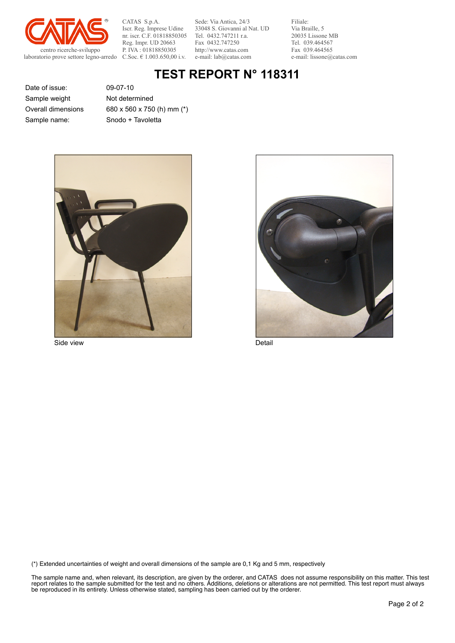

CATAS S.p.A. Iscr. Reg. Imprese Udine nr. iscr. C.F. 01818850305 Reg. Impr. UD 20663 P. IVA : 01818850305 C.Soc. € 1.003.650,00 i.v.

Sede: Via Antica, 24/3 33048 S. Giovanni al Nat. UD Tel. 0432.747211 r.a. Fax 0432.747250 http://www.catas.com e-mail: lab@catas.com

Filiale: Via Braille, 5 20035 Lissone MB Tel. 039.464567 Fax 039.464565 e-mail: lissone@catas.com

## **TEST REPORT N° 118311**

Date of issue: 09-07-10 Sample name: Snodo + Tavoletta Sample weight Overall dimensions

Not determined 680 x 560 x 750 (h) mm (\*)



Side view Detail



(\*) Extended uncertainties of weight and overall dimensions of the sample are 0,1 Kg and 5 mm, respectively

The sample name and, when relevant, its description, are given by the orderer, and CATAS does not assume responsibility on this matter. This test report relates to the sample submitted for the test and no others. Additions, deletions or alterations are not permitted. This test report must always be reproduced in its entirety. Unless otherwise stated, sampling has been carried out by the orderer.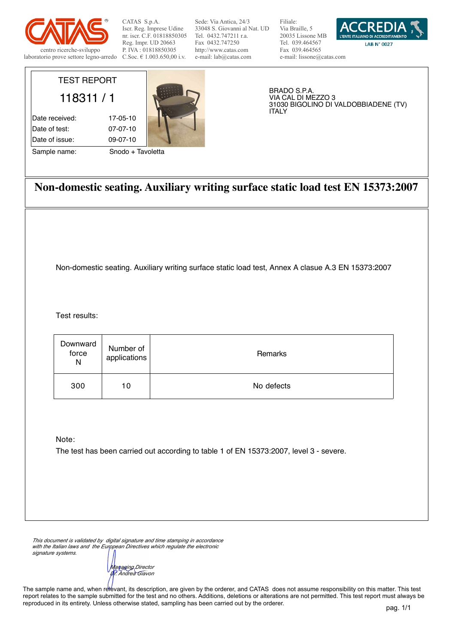

TEST REPORT

118311 / 1

Date received: 17-05-10 Date of test: 07-07-10 Date of issue: 09-07-10

Sample name: Snodo + Tavoletta

CATAS S.p.A. Iscr. Reg. Imprese Udine nr. iscr. C.F. 01818850305 Reg. Impr. UD 20663 P. IVA : 01818850305 C.Soc. € 1.003.650,00 i.v.

Sede: Via Antica, 24/3 33048 S. Giovanni al Nat. UD Tel. 0432.747211 r.a. Fax 0432.747250 http://www.catas.com e-mail: lab@catas.com

Filiale: Via Braille, 5 20035 Lissone MB Tel. 039.464567 Fax 039.464565 e-mail: lissone@catas.com



BRADO S.P.A. VIA CAL DI MEZZO 3 31030 BIGOLINO DI VALDOBBIADENE (TV) ITALY

**Non-domestic seating. Auxiliary writing surface static load test EN 15373:2007**

Non-domestic seating. Auxiliary writing surface static load test, Annex A clasue A.3 EN 15373:2007

Test results:

| Downward<br>force<br>N | Number of<br>applications $ $ | Remarks    |
|------------------------|-------------------------------|------------|
| 300                    | 10                            | No defects |

Note:

The test has been carried out according to table 1 of EN 15373:2007, level 3 - severe.

*This document is validated by digital signature and time stamping in accordance with the Italian laws and the European Directives which regulate the electronic signature systems.*

*Managing Director Dr. Andrea Giavon*

The sample name and, when relevant, its description, are given by the orderer, and CATAS does not assume responsibility on this matter. This test report relates to the sample submitted for the test and no others. Additions, deletions or alterations are not permitted. This test report must always be reproduced in its entirety. Unless otherwise stated, sampling has been carried out by the orderer.